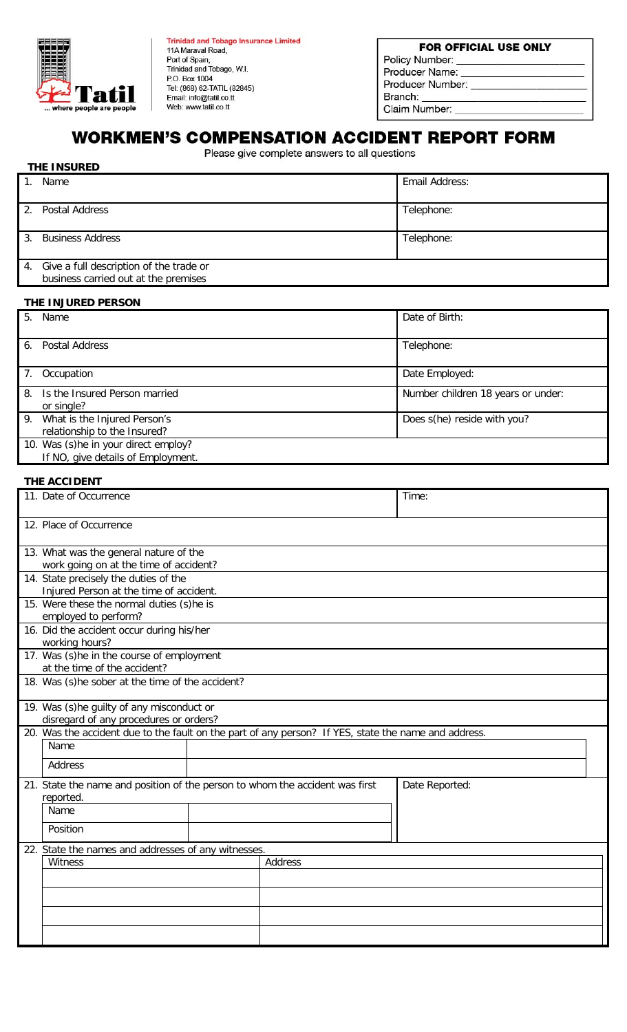

**Trinidad and Tobago Insurance Limited** 11A Maraval Road,<br>Port of Spain, Trinidad and Tobago, W.I. P.O. Box 1004<br>Tel: (868) 62-TATIL (82845)<br>Email: info@tatil.co.tt Web: www.tatil.co.tt

## FOR OFFICIAL USE ONLY Policy Number: Producer Name: Producer Number: \_ Branch: Claim Number: \_\_

# **WORKMEN'S COMPENSATION ACCIDENT REPORT FORM**

Please give complete answers to all questions

# **THE INSURED**

| Name                                                                               | Email Address: |  |  |  |  |
|------------------------------------------------------------------------------------|----------------|--|--|--|--|
| 2. Postal Address                                                                  | Telephone:     |  |  |  |  |
| 3. Business Address                                                                | Telephone:     |  |  |  |  |
| 4. Give a full description of the trade or<br>business carried out at the premises |                |  |  |  |  |
|                                                                                    |                |  |  |  |  |

#### **THE INJURED PERSON**

| 5.<br>Name                                                                 | Date of Birth:                     |
|----------------------------------------------------------------------------|------------------------------------|
| Postal Address<br>6.                                                       | Telephone:                         |
| Occupation<br>7.                                                           | Date Employed:                     |
| 8. Is the Insured Person married<br>or single?                             | Number children 18 years or under: |
| 9. What is the Injured Person's<br>relationship to the Insured?            | Does s(he) reside with you?        |
| 10. Was (s)he in your direct employ?<br>If NO, give details of Employment. |                                    |

## **THE ACCIDENT**

|      | 11. Date of Occurrence                                                                               | Time: |         |                |  |  |
|------|------------------------------------------------------------------------------------------------------|-------|---------|----------------|--|--|
|      | 12. Place of Occurrence                                                                              |       |         |                |  |  |
|      | 13. What was the general nature of the                                                               |       |         |                |  |  |
|      | work going on at the time of accident?                                                               |       |         |                |  |  |
|      | 14. State precisely the duties of the                                                                |       |         |                |  |  |
|      | Injured Person at the time of accident.                                                              |       |         |                |  |  |
|      | 15. Were these the normal duties (s)he is<br>employed to perform?                                    |       |         |                |  |  |
|      | 16. Did the accident occur during his/her                                                            |       |         |                |  |  |
|      | working hours?                                                                                       |       |         |                |  |  |
|      | 17. Was (s)he in the course of employment                                                            |       |         |                |  |  |
|      | at the time of the accident?                                                                         |       |         |                |  |  |
|      | 18. Was (s)he sober at the time of the accident?                                                     |       |         |                |  |  |
|      | 19. Was (s)he guilty of any misconduct or                                                            |       |         |                |  |  |
|      | disregard of any procedures or orders?                                                               |       |         |                |  |  |
|      | 20. Was the accident due to the fault on the part of any person? If YES, state the name and address. |       |         |                |  |  |
| Name |                                                                                                      |       |         |                |  |  |
|      | Address                                                                                              |       |         |                |  |  |
|      | 21. State the name and position of the person to whom the accident was first                         |       |         | Date Reported: |  |  |
|      | reported.                                                                                            |       |         |                |  |  |
|      | Name                                                                                                 |       |         |                |  |  |
|      | Position                                                                                             |       |         |                |  |  |
|      | 22. State the names and addresses of any witnesses.                                                  |       |         |                |  |  |
|      | Witness                                                                                              |       | Address |                |  |  |
|      |                                                                                                      |       |         |                |  |  |
|      |                                                                                                      |       |         |                |  |  |
|      |                                                                                                      |       |         |                |  |  |
|      |                                                                                                      |       |         |                |  |  |
|      |                                                                                                      |       |         |                |  |  |
|      |                                                                                                      |       |         |                |  |  |